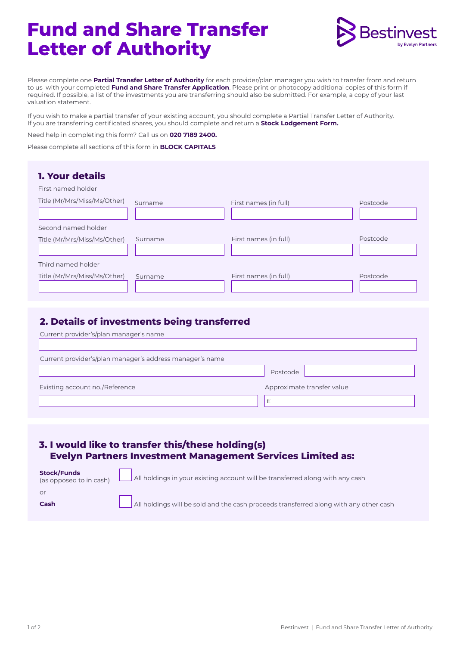# **Fund and Share Transfer Letter of Authority**



Please complete one **Partial Transfer Letter of Authority** for each provider/plan manager you wish to transfer from and return to us with your completed **Fund and Share Transfer Application**. Please print or photocopy additional copies of this form if required. If possible, a list of the investments you are transferring should also be submitted. For example, a copy of your last valuation statement.

If you wish to make a partial transfer of your existing account, you should complete a Partial Transfer Letter of Authority. If you are transferring certificated shares, you should complete and return a **Stock Lodgement Form.** 

Need help in completing this form? Call us on **020 7189 2400.** 

Please complete all sections of this form in **BLOCK CAPITALS** 

| <b>1. Your details</b><br>First named holder        |         |                       |          |
|-----------------------------------------------------|---------|-----------------------|----------|
| Title (Mr/Mrs/Miss/Ms/Other)                        | Surname | First names (in full) | Postcode |
| Second named holder<br>Title (Mr/Mrs/Miss/Ms/Other) | Surname | First names (in full) | Postcode |
| Third named holder<br>Title (Mr/Mrs/Miss/Ms/Other)  | Surname | First names (in full) | Postcode |

# **2. Details of investments being transferred**

| Current provider's/plan manager's name                   |                            |
|----------------------------------------------------------|----------------------------|
| Current provider's/plan manager's address manager's name |                            |
|                                                          | Postcode                   |
| Existing account no./Reference                           | Approximate transfer value |
|                                                          | $\mathcal{L}$              |

### **3. I would like to transfer this/these holding(s) Evelyn Partners Investment Management Services Limited as:**

|      | <b>Stock/Funds</b><br>(as opposed to in cash) All holdings in your existing account will be transferred along with any cash |
|------|-----------------------------------------------------------------------------------------------------------------------------|
| or   |                                                                                                                             |
| Cash | All holdings will be sold and the cash proceeds transferred along with any other cash                                       |